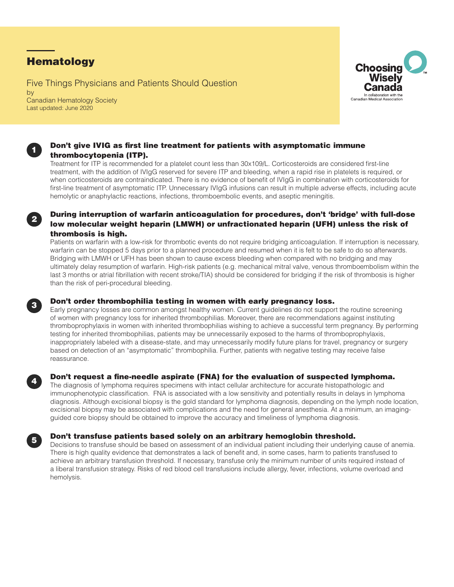# **Hematology**

Five Things Physicians and Patients Should Question by Canadian Hematology Society Last updated: June 2020





## Don't give IVIG as first line treatment for patients with asymptomatic immune thrombocytopenia (ITP).

Treatment for ITP is recommended for a platelet count less than 30x109/L. Corticosteroids are considered first-line treatment, with the addition of IVIgG reserved for severe ITP and bleeding, when a rapid rise in platelets is required, or when corticosteroids are contraindicated. There is no evidence of benefit of IVIgG in combination with corticosteroids for first-line treatment of asymptomatic ITP. Unnecessary IVIgG infusions can result in multiple adverse effects, including acute hemolytic or anaphylactic reactions, infections, thromboembolic events, and aseptic meningitis.



## <sup>2</sup> During interruption of warfarin anticoagulation for procedures, don't 'bridge' with full-dose low molecular weight heparin (LMWH) or unfractionated heparin (UFH) unless the risk of thrombosis is high.

Patients on warfarin with a low-risk for thrombotic events do not require bridging anticoagulation. If interruption is necessary, warfarin can be stopped 5 days prior to a planned procedure and resumed when it is felt to be safe to do so afterwards. Bridging with LMWH or UFH has been shown to cause excess bleeding when compared with no bridging and may ultimately delay resumption of warfarin. High-risk patients (e.g. mechanical mitral valve, venous thromboembolism within the last 3 months or atrial fibrillation with recent stroke/TIA) should be considered for bridging if the risk of thrombosis is higher than the risk of peri-procedural bleeding.



## **3** Don't order thrombophilia testing in women with early pregnancy loss.

Early pregnancy losses are common amongst healthy women. Current guidelines do not support the routine screening of women with pregnancy loss for inherited thrombophilias. Moreover, there are recommendations against instituting thromboprophylaxis in women with inherited thrombophilias wishing to achieve a successful term pregnancy. By performing testing for inherited thrombophilias, patients may be unnecessarily exposed to the harms of thromboprophylaxis, inappropriately labeled with a disease-state, and may unnecessarily modify future plans for travel, pregnancy or surgery based on detection of an "asymptomatic" thrombophilia. Further, patients with negative testing may receive false reassurance.



## Don't request a fine-needle aspirate (FNA) for the evaluation of suspected lymphoma.

The diagnosis of lymphoma requires specimens with intact cellular architecture for accurate histopathologic and immunophenotypic classification. FNA is associated with a low sensitivity and potentially results in delays in lymphoma diagnosis. Although excisional biopsy is the gold standard for lymphoma diagnosis, depending on the lymph node location, excisional biopsy may be associated with complications and the need for general anesthesia. At a minimum, an imagingguided core biopsy should be obtained to improve the accuracy and timeliness of lymphoma diagnosis.



## <sup>5</sup> Don't transfuse patients based solely on an arbitrary hemoglobin threshold.

Decisions to transfuse should be based on assessment of an individual patient including their underlying cause of anemia. There is high quality evidence that demonstrates a lack of benefit and, in some cases, harm to patients transfused to achieve an arbitrary transfusion threshold. If necessary, transfuse only the minimum number of units required instead of a liberal transfusion strategy. Risks of red blood cell transfusions include allergy, fever, infections, volume overload and hemolysis.